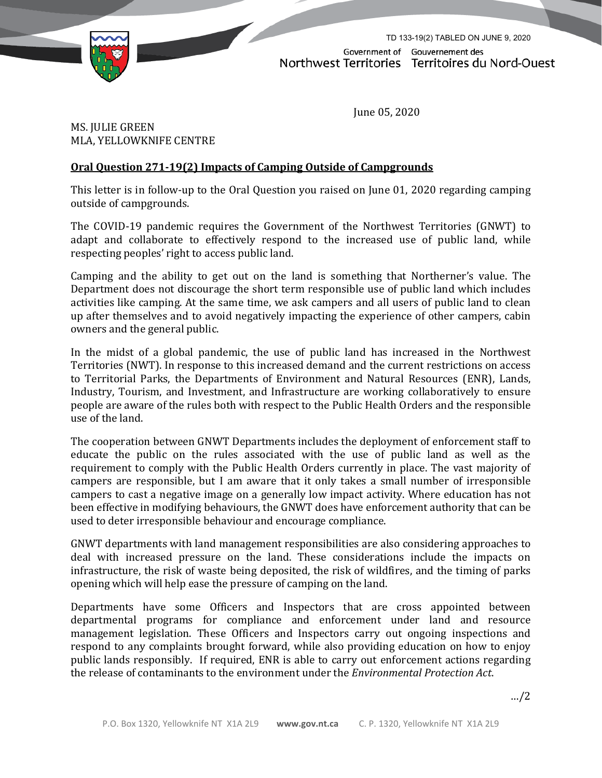

TD 133-19(2) TABLED ON JUNE 9, 2020Government of Gouvernement des Northwest Territories Territoires du Nord-Ouest

June 05, 2020

MS. JULIE GREEN MLA, YELLOWKNIFE CENTRE

## **Oral Question 271-19(2) Impacts of Camping Outside of Campgrounds**

This letter is in follow-up to the Oral Question you raised on June 01, 2020 regarding camping outside of campgrounds.

The COVID-19 pandemic requires the Government of the Northwest Territories (GNWT) to adapt and collaborate to effectively respond to the increased use of public land, while respecting peoples' right to access public land.

Camping and the ability to get out on the land is something that Northerner's value. The Department does not discourage the short term responsible use of public land which includes activities like camping. At the same time, we ask campers and all users of public land to clean up after themselves and to avoid negatively impacting the experience of other campers, cabin owners and the general public.

In the midst of a global pandemic, the use of public land has increased in the Northwest Territories (NWT). In response to this increased demand and the current restrictions on access to Territorial Parks, the Departments of Environment and Natural Resources (ENR), Lands, Industry, Tourism, and Investment, and Infrastructure are working collaboratively to ensure people are aware of the rules both with respect to the Public Health Orders and the responsible use of the land.

The cooperation between GNWT Departments includes the deployment of enforcement staff to educate the public on the rules associated with the use of public land as well as the requirement to comply with the Public Health Orders currently in place. The vast majority of campers are responsible, but I am aware that it only takes a small number of irresponsible campers to cast a negative image on a generally low impact activity. Where education has not been effective in modifying behaviours, the GNWT does have enforcement authority that can be used to deter irresponsible behaviour and encourage compliance.

GNWT departments with land management responsibilities are also considering approaches to deal with increased pressure on the land. These considerations include the impacts on infrastructure, the risk of waste being deposited, the risk of wildfires, and the timing of parks opening which will help ease the pressure of camping on the land.

Departments have some Officers and Inspectors that are cross appointed between departmental programs for compliance and enforcement under land and resource management legislation. These Officers and Inspectors carry out ongoing inspections and respond to any complaints brought forward, while also providing education on how to enjoy public lands responsibly. If required, ENR is able to carry out enforcement actions regarding the release of contaminants to the environment under the *Environmental Protection Act*.